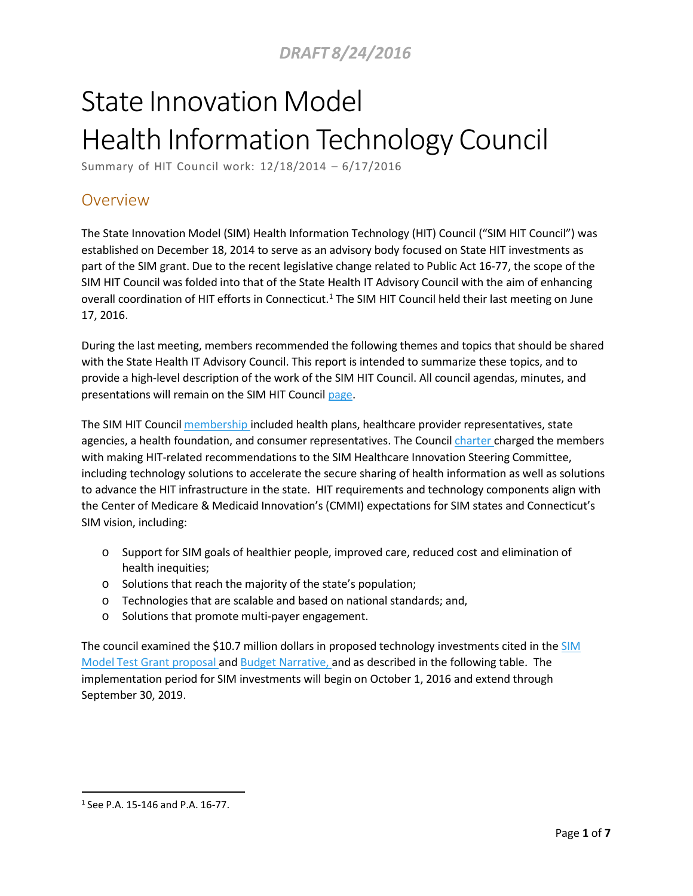# State Innovation Model Health Information Technology Council

Summary of HIT Council work: 12/18/2014 – 6/17/2016

# Overview

The State Innovation Model (SIM) Health Information Technology (HIT) Council ("SIM HIT Council") was established on December 18, 2014 to serve as an advisory body focused on State HIT investments as part of the SIM grant. Due to the recent legislative change related to Public Act 16-77, the scope of the SIM HIT Council was folded into that of the State Health IT Advisory Council with the aim of enhancing overall coordination of HIT efforts in Connecticut.<sup>1</sup> The SIM HIT Council held their last meeting on June 17, 2016.

During the last meeting, members recommended the following themes and topics that should be shared with the State Health IT Advisory Council. This report is intended to summarize these topics, and to provide a high-level description of the work of the SIM HIT Council. All council agendas, minutes, and presentations will remain on the SIM HIT Council [page.](http://www.healthreform.ct.gov/ohri/cwp/view.asp?a=2765&q=335324)

The SIM HIT Council [membership](http://www.healthreform.ct.gov/ohri/lib/ohri/work_groups/hit/hit_member_listing_10.14.2015.pdf) included health plans, healthcare provider representatives, state agencies, a health foundation, and consumer representatives. The Council [charter](http://www.healthreform.ct.gov/ohri/lib/ohri/work_groups/hit/charter_redraft_draft__v3-0_posted11.4.pdf) charged the members with making HIT-related recommendations to the SIM Healthcare Innovation Steering Committee, including technology solutions to accelerate the secure sharing of health information as well as solutions to advance the HIT infrastructure in the state. HIT requirements and technology components align with the Center of Medicare & Medicaid Innovation's (CMMI) expectations for SIM states and Connecticut's SIM vision, including:

- o Support for SIM goals of healthier people, improved care, reduced cost and elimination of health inequities;
- o Solutions that reach the majority of the state's population;
- o Technologies that are scalable and based on national standards; and,
- o Solutions that promote multi-payer engagement.

The council examined the \$10.7 million dollars in proposed technology investments cited in the [SIM](http://www.healthreform.ct.gov/ohri/lib/ohri/sim/test_grant_documents/application/ct_sim_test_program_narrative_final.pdf) Model Test Grant [proposal a](http://www.healthreform.ct.gov/ohri/lib/ohri/sim/test_grant_documents/application/ct_sim_test_program_narrative_final.pdf)nd Budget [Narrative,](http://www.healthreform.ct.gov/ohri/lib/ohri/sim/test_grant_documents/budget_narrative_amended_04302015_final.pdf) and as described in the following table. The implementation period for SIM investments will begin on October 1, 2016 and extend through September 30, 2019.

<sup>1</sup> See P.A. 15-146 and P.A. 16-77.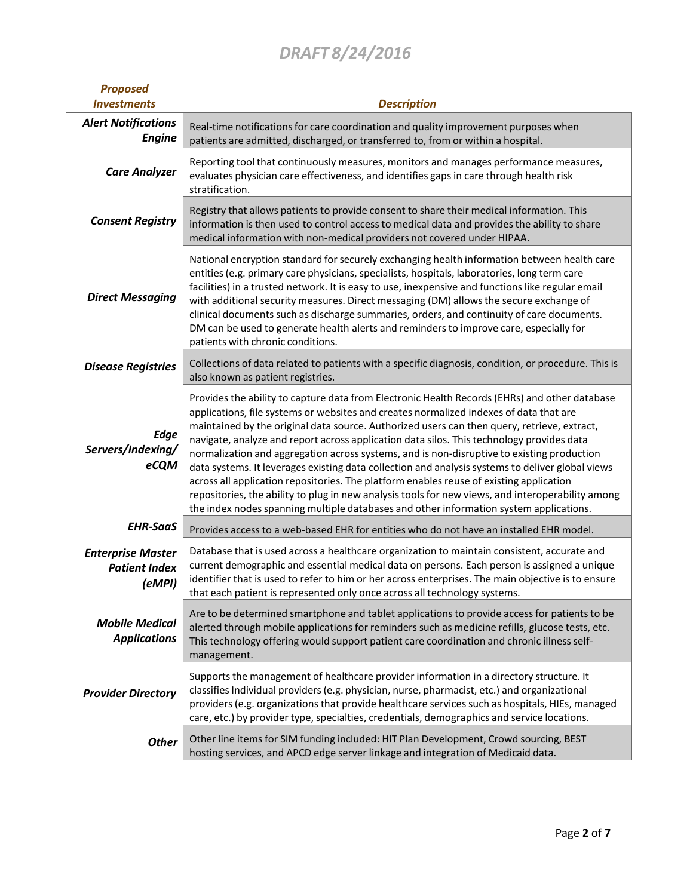| <b>Proposed</b><br><b>Investments</b>                      | <b>Description</b>                                                                                                                                                                                                                                                                                                                                                                                                                                                                                                                                                                                                                                                                                                                                                                                                                                                              |
|------------------------------------------------------------|---------------------------------------------------------------------------------------------------------------------------------------------------------------------------------------------------------------------------------------------------------------------------------------------------------------------------------------------------------------------------------------------------------------------------------------------------------------------------------------------------------------------------------------------------------------------------------------------------------------------------------------------------------------------------------------------------------------------------------------------------------------------------------------------------------------------------------------------------------------------------------|
| <b>Alert Notifications</b><br><b>Engine</b>                | Real-time notifications for care coordination and quality improvement purposes when<br>patients are admitted, discharged, or transferred to, from or within a hospital.                                                                                                                                                                                                                                                                                                                                                                                                                                                                                                                                                                                                                                                                                                         |
| <b>Care Analyzer</b>                                       | Reporting tool that continuously measures, monitors and manages performance measures,<br>evaluates physician care effectiveness, and identifies gaps in care through health risk<br>stratification.                                                                                                                                                                                                                                                                                                                                                                                                                                                                                                                                                                                                                                                                             |
| <b>Consent Registry</b>                                    | Registry that allows patients to provide consent to share their medical information. This<br>information is then used to control access to medical data and provides the ability to share<br>medical information with non-medical providers not covered under HIPAA.                                                                                                                                                                                                                                                                                                                                                                                                                                                                                                                                                                                                            |
| <b>Direct Messaging</b>                                    | National encryption standard for securely exchanging health information between health care<br>entities (e.g. primary care physicians, specialists, hospitals, laboratories, long term care<br>facilities) in a trusted network. It is easy to use, inexpensive and functions like regular email<br>with additional security measures. Direct messaging (DM) allows the secure exchange of<br>clinical documents such as discharge summaries, orders, and continuity of care documents.<br>DM can be used to generate health alerts and reminders to improve care, especially for<br>patients with chronic conditions.                                                                                                                                                                                                                                                          |
| <b>Disease Registries</b>                                  | Collections of data related to patients with a specific diagnosis, condition, or procedure. This is<br>also known as patient registries.                                                                                                                                                                                                                                                                                                                                                                                                                                                                                                                                                                                                                                                                                                                                        |
| <b>Edge</b><br>Servers/Indexing/<br>eCQM                   | Provides the ability to capture data from Electronic Health Records (EHRs) and other database<br>applications, file systems or websites and creates normalized indexes of data that are<br>maintained by the original data source. Authorized users can then query, retrieve, extract,<br>navigate, analyze and report across application data silos. This technology provides data<br>normalization and aggregation across systems, and is non-disruptive to existing production<br>data systems. It leverages existing data collection and analysis systems to deliver global views<br>across all application repositories. The platform enables reuse of existing application<br>repositories, the ability to plug in new analysis tools for new views, and interoperability among<br>the index nodes spanning multiple databases and other information system applications. |
| <b>EHR-SaaS</b>                                            | Provides access to a web-based EHR for entities who do not have an installed EHR model.                                                                                                                                                                                                                                                                                                                                                                                                                                                                                                                                                                                                                                                                                                                                                                                         |
| <b>Enterprise Master</b><br><b>Patient Index</b><br>(eMPI) | Database that is used across a healthcare organization to maintain consistent, accurate and<br>current demographic and essential medical data on persons. Each person is assigned a unique<br>identifier that is used to refer to him or her across enterprises. The main objective is to ensure<br>that each patient is represented only once across all technology systems.                                                                                                                                                                                                                                                                                                                                                                                                                                                                                                   |
| <b>Mobile Medical</b><br><b>Applications</b>               | Are to be determined smartphone and tablet applications to provide access for patients to be<br>alerted through mobile applications for reminders such as medicine refills, glucose tests, etc.<br>This technology offering would support patient care coordination and chronic illness self-<br>management.                                                                                                                                                                                                                                                                                                                                                                                                                                                                                                                                                                    |
| <b>Provider Directory</b>                                  | Supports the management of healthcare provider information in a directory structure. It<br>classifies Individual providers (e.g. physician, nurse, pharmacist, etc.) and organizational<br>providers (e.g. organizations that provide healthcare services such as hospitals, HIEs, managed<br>care, etc.) by provider type, specialties, credentials, demographics and service locations.                                                                                                                                                                                                                                                                                                                                                                                                                                                                                       |
| <b>Other</b>                                               | Other line items for SIM funding included: HIT Plan Development, Crowd sourcing, BEST<br>hosting services, and APCD edge server linkage and integration of Medicaid data.                                                                                                                                                                                                                                                                                                                                                                                                                                                                                                                                                                                                                                                                                                       |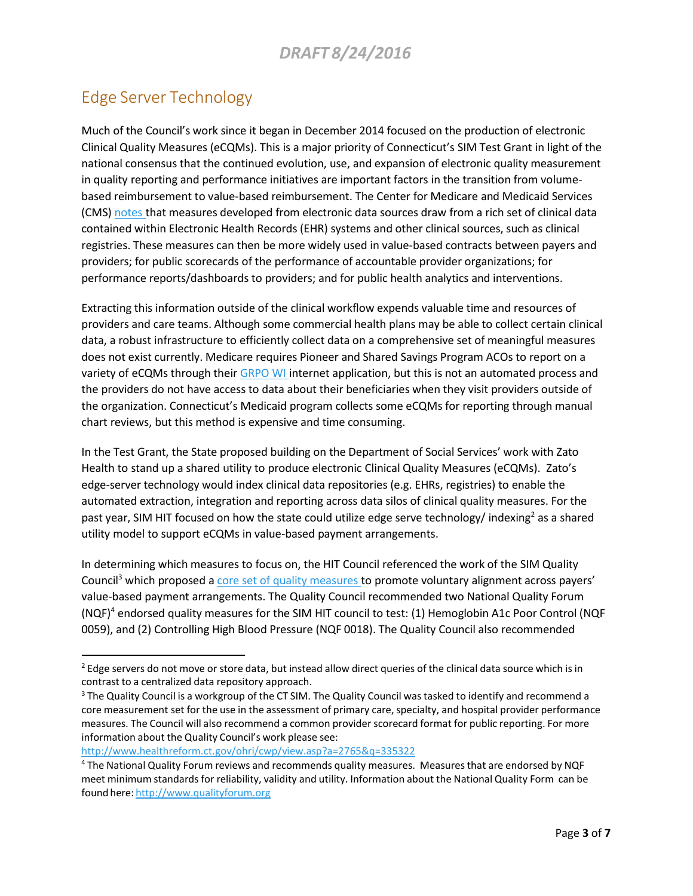# Edge Server Technology

Much of the Council's work since it began in December 2014 focused on the production of electronic Clinical Quality Measures (eCQMs). This is a major priority of Connecticut's SIM Test Grant in light of the national consensus that the continued evolution, use, and expansion of electronic quality measurement in quality reporting and performance initiatives are important factors in the transition from volumebased reimbursement to value-based reimbursement. The Center for Medicare and Medicaid Services (CMS) [notes](https://www.cms.gov/Medicare/Quality-Initiatives-Patient-Assessment-Instruments/Value-Based-Programs/MACRA-MIPS-and-APMs/Draft-CMS-Quality-Measure-Development-Plan-MDP.pdf) that measures developed from electronic data sources draw from a rich set of clinical data contained within Electronic Health Records (EHR) systems and other clinical sources, such as clinical registries. These measures can then be more widely used in value-based contracts between payers and providers; for public scorecards of the performance of accountable provider organizations; for performance reports/dashboards to providers; and for public health analytics and interventions.

Extracting this information outside of the clinical workflow expends valuable time and resources of providers and care teams. Although some commercial health plans may be able to collect certain clinical data, a robust infrastructure to efficiently collect data on a comprehensive set of meaningful measures does not exist currently. Medicare requires Pioneer and Shared Savings Program ACOs to report on a variety of eCQMs through their [GRPO](https://www.cms.gov/medicare/quality-initiatives-patient-assessment-instruments/pqrs/gpro_web_interface.html) WI internet application, but this is not an automated process and the providers do not have access to data about their beneficiaries when they visit providers outside of the organization. Connecticut's Medicaid program collects some eCQMs for reporting through manual chart reviews, but this method is expensive and time consuming.

In the Test Grant, the State proposed building on the Department of Social Services' work with Zato Health to stand up a shared utility to produce electronic Clinical Quality Measures (eCQMs). Zato's edge-server technology would index clinical data repositories (e.g. EHRs, registries) to enable the automated extraction, integration and reporting across data silos of clinical quality measures. For the past year, SIM HIT focused on how the state could utilize edge serve technology/ indexing<sup>2</sup> as a shared utility model to support eCQMs in value-based payment arrangements.

In determining which measures to focus on, the HIT Council referenced the work of the SIM Quality Council<sup>3</sup> which proposed a core set of quality [measures](http://www.healthreform.ct.gov/ohri/lib/ohri/sim/steering_committee/2016/06-09/qc_report_06032016_final_draft_accepted.pdf) to promote voluntary alignment across payers' value-based payment arrangements. The Quality Council recommended two National Quality Forum  $(NQF)^4$  endorsed quality measures for the SIM HIT council to test: (1) Hemoglobin A1c Poor Control (NQF 0059), and (2) Controlling High Blood Pressure (NQF 0018). The Quality Council also recommended

<http://www.healthreform.ct.gov/ohri/cwp/view.asp?a=2765&q=335322>

<sup>&</sup>lt;sup>2</sup> Edge servers do not move or store data, but instead allow direct queries of the clinical data source which is in contrast to a centralized data repository approach.

<sup>&</sup>lt;sup>3</sup> The Quality Council is a workgroup of the CT SIM. The Quality Council was tasked to identify and recommend a core measurement set for the use in the assessment of primary care, specialty, and hospital provider performance measures. The Council will also recommend a common provider scorecard format for public reporting. For more information about the Quality Council's work please see:

<sup>4</sup> The National Quality Forum reviews and recommends quality measures. Measuresthat are endorsed by NQF meet minimum standardsfor reliability, validity and utility. Information about the National Quality Form can be found here: [http://www.qualityforum.org](http://www.qualityforum.org/)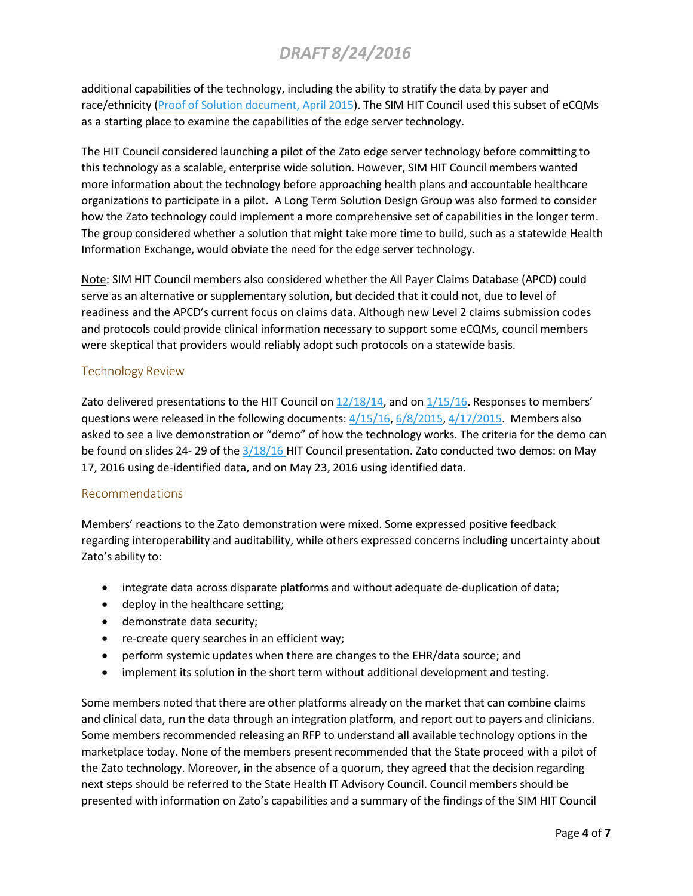additional capabilities of the technology, including the ability to stratify the data by payer and race/ethnicity (Proof of [Solution document,](http://www.healthreform.ct.gov/ohri/lib/ohri/work_groups/quality/2015-04-15/hit_2016_proofofsolution_performance_measure_production_v5.pdf) April 2015). The SIM HIT Council used this subset of eCQMs as a starting place to examine the capabilities of the edge server technology.

The HIT Council considered launching a pilot of the Zato edge server technology before committing to this technology as a scalable, enterprise wide solution. However, SIM HIT Council members wanted more information about the technology before approaching health plans and accountable healthcare organizations to participate in a pilot. A Long Term Solution Design Group was also formed to consider how the Zato technology could implement a more comprehensive set of capabilities in the longer term. The group considered whether a solution that might take more time to build, such as a statewide Health Information Exchange, would obviate the need for the edge server technology.

Note: SIM HIT Council members also considered whether the All Payer Claims Database (APCD) could serve as an alternative or supplementary solution, but decided that it could not, due to level of readiness and the APCD's current focus on claims data. Although new Level 2 claims submission codes and protocols could provide clinical information necessary to support some eCQMs, council members were skeptical that providers would reliably adopt such protocols on a statewide basis.

## Technology Review

Zato delivered presentations to the HIT Council on  $12/18/14$ , and on  $1/15/16$ . Responses to members' questions were released in the following documents:  $4/15/16$ ,  $6/8/2015$ ,  $4/17/2015$ . Members also asked to see a live demonstration or "demo" of how the technology works. The criteria for the demo can be found on slides 24- 29 of the [3/18/16](http://www.healthreform.ct.gov/ohri/lib/ohri/work_groups/hit/2016/03-18/presentation_hit_03182016_final.pdf) HIT Council presentation. Zato conducted two demos: on May 17, 2016 using de-identified data, and on May 23, 2016 using identified data.

### Recommendations

Members' reactions to the Zato demonstration were mixed. Some expressed positive feedback regarding interoperability and auditability, while others expressed concerns including uncertainty about Zato's ability to:

- integrate data across disparate platforms and without adequate de-duplication of data;
- deploy in the healthcare setting;
- demonstrate data security;
- re-create query searches in an efficient way;
- perform systemic updates when there are changes to the EHR/data source; and
- implement its solution in the short term without additional development and testing.

Some members noted that there are other platforms already on the market that can combine claims and clinical data, run the data through an integration platform, and report out to payers and clinicians. Some members recommended releasing an RFP to understand all available technology options in the marketplace today. None of the members present recommended that the State proceed with a pilot of the Zato technology. Moreover, in the absence of a quorum, they agreed that the decision regarding next steps should be referred to the State Health IT Advisory Council. Council members should be presented with information on Zato's capabilities and a summary of the findings of the SIM HIT Council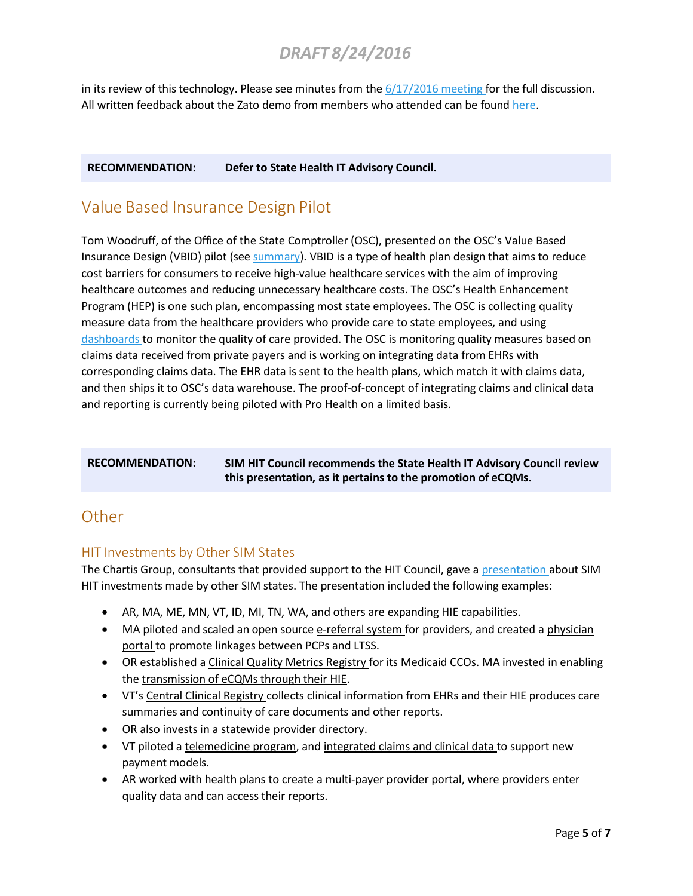in its review of this technology. Please see minutes from the  $6/17/2016$  meeting for the full discussion. All written feedback about the Zato demo from members who attended can be found [here.](http://www.healthreform.ct.gov/ohri/cwp/view.asp?a=2765&Q=336034&PM=1)

### **RECOMMENDATION: Defer to State Health IT Advisory Council.**

# Value Based Insurance Design Pilot

Tom Woodruff, of the Office of the State Comptroller (OSC), presented on the OSC's Value Based Insurance Design (VBID) pilot (see [summary\)](http://www.healthreform.ct.gov/ohri/lib/ohri/work_groups/hit/2016/04-15/20160415_summary_hit_council_draft.pdf). VBID is a type of health plan design that aims to reduce cost barriers for consumers to receive high-value healthcare services with the aim of improving healthcare outcomes and reducing unnecessary healthcare costs. The OSC's Health Enhancement Program (HEP) is one such plan, encompassing most state employees. The OSC is collecting quality measure data from the healthcare providers who provide care to state employees, and using [dashboards](http://www.healthreform.ct.gov/ohri/lib/ohri/work_groups/hit/2016/04-15/20160415_vbid_handout.pdf) to monitor the quality of care provided. The OSC is monitoring quality measures based on claims data received from private payers and is working on integrating data from EHRs with corresponding claims data. The EHR data is sent to the health plans, which match it with claims data, and then ships it to OSC's data warehouse. The proof-of-concept of integrating claims and clinical data and reporting is currently being piloted with Pro Health on a limited basis.

**RECOMMENDATION: SIM HIT Council recommends the State Health IT Advisory Council review this presentation, as it pertains to the promotion of eCQMs.**

# **Other**

## HIT Investments by Other SIM States

The Chartis Group, consultants that provided support to the HIT Council, gave a [presentation](http://www.healthreform.ct.gov/ohri/lib/ohri/work_groups/hit/2015_08_21/presentation_-_hit_council_-_8_21_15_v_6_0_sentpostedfinal.pdf) about SIM HIT investments made by other SIM states. The presentation included the following examples:

- AR, MA, ME, MN, VT, ID, MI, TN, WA, and others are expanding HIE capabilities.
- MA piloted and scaled an open source e-referral system for providers, and created a physician portal to promote linkages between PCPs and LTSS.
- OR established a *Clinical Quality Metrics Registry* for its Medicaid CCOs. MA invested in enabling the transmission of eCQMs through their HIE.
- VT's Central Clinical Registry collects clinical information from EHRs and their HIE produces care summaries and continuity of care documents and other reports.
- OR also invests in a statewide provider directory.
- VT piloted a telemedicine program, and integrated claims and clinical data to support new payment models.
- AR worked with health plans to create a multi-payer provider portal, where providers enter quality data and can access their reports.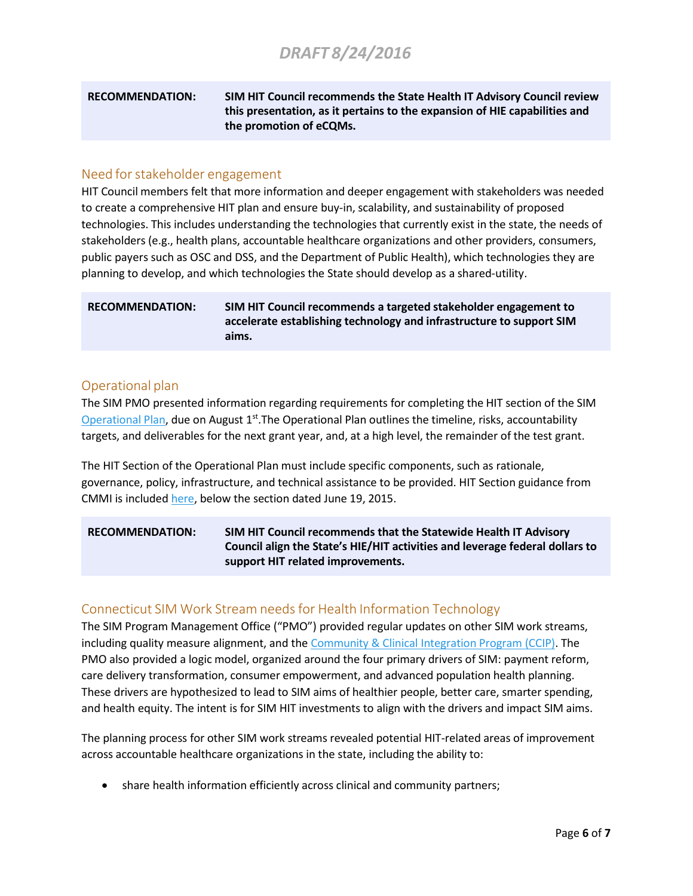**RECOMMENDATION: SIM HIT Council recommends the State Health IT Advisory Council review this presentation, as it pertains to the expansion of HIE capabilities and the promotion of eCQMs.**

### Need for stakeholder engagement

HIT Council members felt that more information and deeper engagement with stakeholders was needed to create a comprehensive HIT plan and ensure buy-in, scalability, and sustainability of proposed technologies. This includes understanding the technologies that currently exist in the state, the needs of stakeholders (e.g., health plans, accountable healthcare organizations and other providers, consumers, public payers such as OSC and DSS, and the Department of Public Health), which technologies they are planning to develop, and which technologies the State should develop as a shared-utility.

### **RECOMMENDATION: SIM HIT Council recommends a targeted stakeholder engagement to accelerate establishing technology and infrastructure to support SIM aims.**

### Operational plan

The SIM PMO presented information regarding requirements for completing the HIT section of the SIM [Operational Plan,](http://www.healthreform.ct.gov/ohri/lib/ohri/sim/test_grant_documents/sim_operational_plan_08012016_final.pdf) due on August  $1<sup>st</sup>$ .The Operational Plan outlines the timeline, risks, accountability targets, and deliverables for the next grant year, and, at a high level, the remainder of the test grant.

The HIT Section of the Operational Plan must include specific components, such as rationale, governance, policy, infrastructure, and technical assistance to be provided. HIT Section guidance from CMMI is included [here,](http://www.healthreform.ct.gov/ohri/cwp/view.asp?a=2765&q=335528) below the section dated June 19, 2015.

### **RECOMMENDATION: SIM HIT Council recommends that the Statewide Health IT Advisory Council align the State's HIE/HIT activities and leverage federal dollars to support HIT related improvements.**

### Connecticut SIM Work Stream needs for Health Information Technology

The SIM Program Management Office ("PMO") provided regular updates on other SIM work streams, including quality measure alignment, and the [Community & Clinical Integration](http://www.healthreform.ct.gov/ohri/lib/ohri/work_groups/practice_transformation/ccip_standards/ccip_report_4-13-16_draft_5_14.pdf) Program (CCIP). The PMO also provided a logic model, organized around the four primary drivers of SIM: payment reform, care delivery transformation, consumer empowerment, and advanced population health planning. These drivers are hypothesized to lead to SIM aims of healthier people, better care, smarter spending, and health equity. The intent is for SIM HIT investments to align with the drivers and impact SIM aims.

The planning process for other SIM work streams revealed potential HIT-related areas of improvement across accountable healthcare organizations in the state, including the ability to:

• share health information efficiently across clinical and community partners;